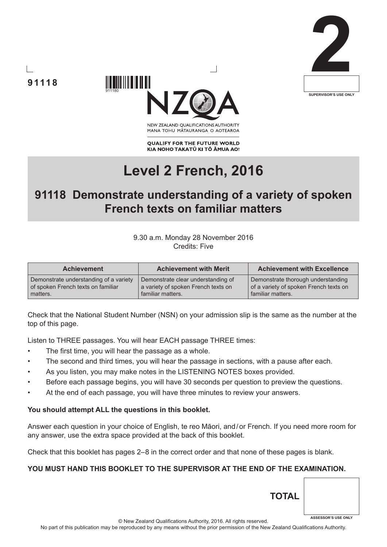





NEW ZEALAND OUALIFICATIONS AUTHORITY MANA TOHU MATAURANGA O AOTEAROA

**QUALIFY FOR THE FUTURE WORLD** KIA NOHO TAKATŪ KI TŌ ĀMUA AO!

# **Level 2 French, 2016**

## **91118 Demonstrate understanding of a variety of spoken French texts on familiar matters**

9.30 a.m. Monday 28 November 2016 Credits: Five

| <b>Achievement</b>                     | <b>Achievement with Merit</b>       | <b>Achievement with Excellence</b>     |
|----------------------------------------|-------------------------------------|----------------------------------------|
| Demonstrate understanding of a variety | Demonstrate clear understanding of  | Demonstrate thorough understanding     |
| of spoken French texts on familiar     | a variety of spoken French texts on | of a variety of spoken French texts on |
| matters.                               | familiar matters.                   | familiar matters.                      |

Check that the National Student Number (NSN) on your admission slip is the same as the number at the top of this page.

Listen to THREE passages. You will hear EACH passage THREE times:

- The first time, you will hear the passage as a whole.
- The second and third times, you will hear the passage in sections, with a pause after each.
- As you listen, you may make notes in the LISTENING NOTES boxes provided.
- Before each passage begins, you will have 30 seconds per question to preview the questions.
- At the end of each passage, you will have three minutes to review your answers.

### **You should attempt ALL the questions in this booklet.**

Answer each question in your choice of English, te reo Māori, and/or French. If you need more room for any answer, use the extra space provided at the back of this booklet.

Check that this booklet has pages 2–8 in the correct order and that none of these pages is blank.

### **YOU MUST HAND THIS BOOKLET TO THE SUPERVISOR AT THE END OF THE EXAMINATION.**

© New Zealand Qualifications Authority, 2016. All rights reserved. No part of this publication may be reproduced by any means without the prior permission of the New Zealand Qualifications Authority.

**ASSESSOR'S USE ONLY**

**TOTAL**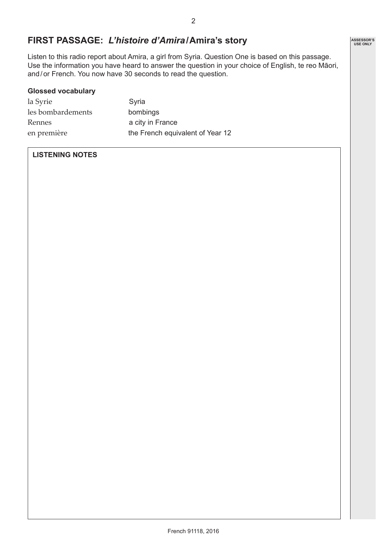## **FIRST PASSAGE:** *L'histoire d'Amira***/Amira's story**

Listen to this radio report about Amira, a girl from Syria. Question One is based on this passage. Use the information you have heard to answer the question in your choice of English, te reo Māori, and/or French. You now have 30 seconds to read the question.

#### **Glossed vocabulary**

| la Syrie          | Syria                            |
|-------------------|----------------------------------|
| les bombardements | bombings                         |
| Rennes            | a city in France                 |
| en première       | the French equivalent of Year 12 |

## **LISTENING NOTES**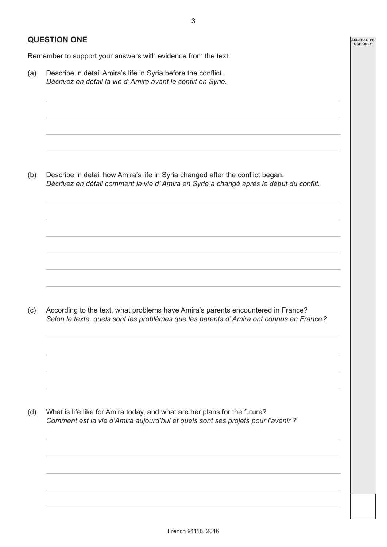**ASSESSOR'S USE ONLY**

## **QUESTION ONE**

Remember to support your answers with evidence from the text.

(a) Describe in detail Amira's life in Syria before the conflict. *Décrivez en détail la vie d' Amira avant le conflit en Syrie.*

(b) Describe in detail how Amira's life in Syria changed after the conflict began. *Décrivez en détail comment la vie d' Amira en Syrie a changé après le début du conflit.*

(c) According to the text, what problems have Amira's parents encountered in France? *Selon le texte, quels sont les problèmes que les parents d' Amira ont connus en France?*

(d) What is life like for Amira today, and what are her plans for the future? *Comment est la vie d'Amira aujourd'hui et quels sont ses projets pour l'avenir ?*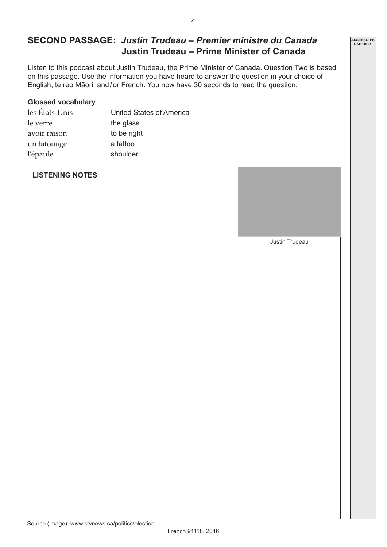## **SECOND PASSAGE:** *Justin Trudeau – Premier ministre du Canada*  **Justin Trudeau – Prime Minister of Canada**

Listen to this podcast about Justin Trudeau, the Prime Minister of Canada. Question Two is based on this passage. Use the information you have heard to answer the question in your choice of English, te reo Māori, and/or French. You now have 30 seconds to read the question.

#### **Glossed vocabulary**

| les États-Unis | United States of America |
|----------------|--------------------------|
| le verre       | the glass                |
| avoir raison   | to be right              |
| un tatouage    | a tattoo                 |
| l'épaule       | shoulder                 |

#### **LISTENING NOTES**

Justin Trudeau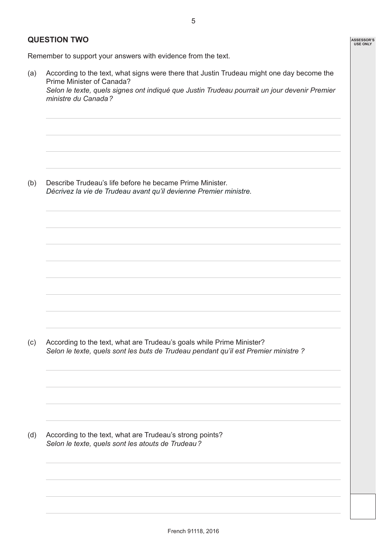## **QUESTION TWO**

Remember to support your answers with evidence from the text.

(a) According to the text, what signs were there that Justin Trudeau might one day become the Prime Minister of Canada? *Selon le texte, quels signes ont indiqué que Justin Trudeau pourrait un jour devenir Premier ministre du Canada?*

(b) Describe Trudeau's life before he became Prime Minister. *Décrivez la vie de Trudeau avant qu'il devienne Premier ministre.*

(c) According to the text, what are Trudeau's goals while Prime Minister? *Selon le texte, quels sont les buts de Trudeau pendant qu'il est Premier ministre ?*

(d) According to the text, what are Trudeau's strong points? *Selon le texte, quels sont les atouts de Trudeau?*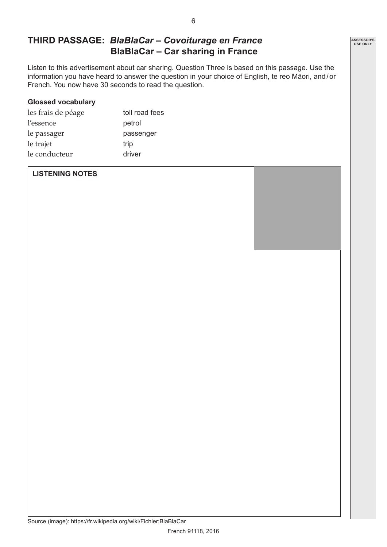## **THIRD PASSAGE:** *BlaBlaCar – Covoiturage en France*  **BlaBlaCar – Car sharing in France**

Listen to this advertisement about car sharing. Question Three is based on this passage. Use the information you have heard to answer the question in your choice of English, te reo Māori, and/or French. You now have 30 seconds to read the question.

#### **Glossed vocabulary**

| les frais de péage | toll road fees |
|--------------------|----------------|
| l'essence          | petrol         |
| le passager        | passenger      |
| le trajet          | trip           |
| le conducteur      | driver         |

#### **LISTENING NOTES**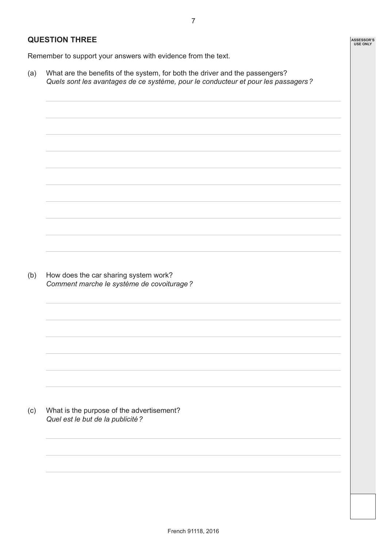**ASSESSOR'S USE ONLY**

## **QUESTION THREE**

Remember to support your answers with evidence from the text.

(a) What are the benefits of the system, for both the driver and the passengers? *Quels sont les avantages de ce système, pour le conducteur et pour les passagers?*

(b) How does the car sharing system work? *Comment marche le système de covoiturage?*

(c) What is the purpose of the advertisement? *Quel est le but de la publicité?*